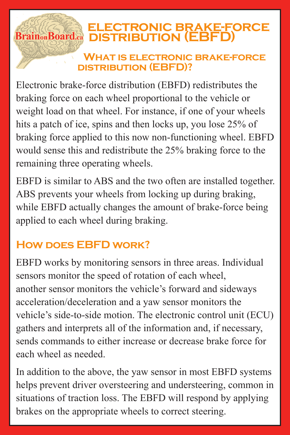## *excelence brake-force*<br>**Brain**®Board® DISTRIBUTION (EBFD)

## **What is electronic brake-force distribution (EBFD)?**

Electronic brake-force distribution (EBFD) redistributes the braking force on each wheel proportional to the vehicle or weight load on that wheel. For instance, if one of your wheels hits a patch of ice, spins and then locks up, you lose 25% of braking force applied to this now non-functioning wheel. EBFD would sense this and redistribute the 25% braking force to the remaining three operating wheels.

EBFD is similar to ABS and the two often are installed together. ABS prevents your wheels from locking up during braking, while EBFD actually changes the amount of brake-force being applied to each wheel during braking.

## **How does EBFD work?**

EBFD works by monitoring sensors in three areas. Individual sensors monitor the speed of rotation of each wheel, another sensor monitors the vehicle's forward and sideways acceleration/deceleration and a yaw sensor monitors the vehicle's side-to-side motion. The electronic control unit (ECU) gathers and interprets all of the information and, if necessary, sends commands to either increase or decrease brake force for each wheel as needed.

In addition to the above, the yaw sensor in most EBFD systems helps prevent driver oversteering and understeering, common in situations of traction loss. The EBFD will respond by applying brakes on the appropriate wheels to correct steering.